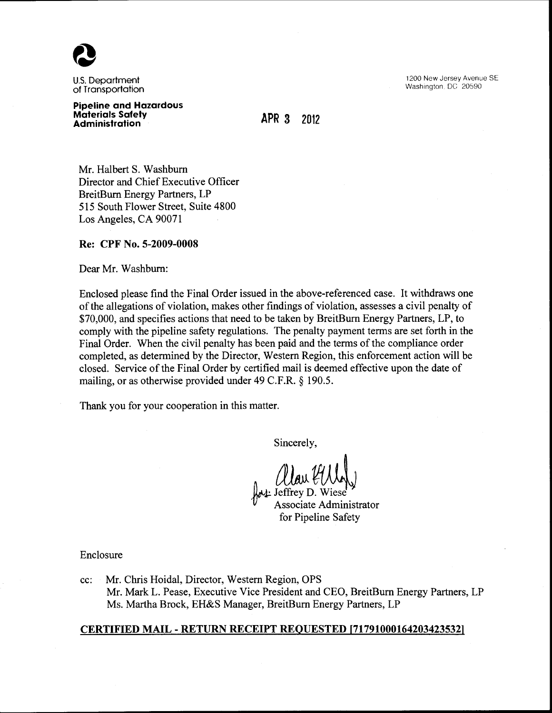

U.S. Department of Transportation

1200 New Jersey Avenue SE Washington. DC 20590

#### **Pipeline and Hazardous Materials Safety Administration**

**APR 3 2012** 

Mr. Halbert S. Washburn Director and Chief Executive Officer BreitBum Energy Partners, LP 515 South Flower Street, Suite 4800 Los Angeles, CA 90071

# **Re: CPF** No. **5-2009-0008**

Dear Mr. Washburn:

Enclosed please find the Final Order issued in the above-referenced case. It withdraws one of the allegations of violation, makes other findings of violation, assesses a civil penalty of \$70,000, and specifies actions that need to be taken by BreitBurn Energy Partners, LP, to comply with the pipeline safety regulations. The penalty payment terms are set forth in the Final Order. When the civil penalty has been paid and the terms of the compliance order completed, as determined by the Director, Western Region, this enforcement action will be closed. Service of the Final Order by certified mail is deemed effective upon the date of mailing, or as otherwise provided under 49 C.F.R. § 190.5.

Thank you for your cooperation in this matter.

Sincerely,

\*\* Jeffrey D. W Associate Administrator for Pipeline Safety

Enclosure

cc: Mr. Chris Hoidal, Director, Western Region, OPS Mr. Mark L. Pease, Executive Vice President and CEO, BreitBurn Energy Partners, LP Ms. Martha Brock, EH&S Manager, BreitBurn Energy Partners, LP

## **CERTIFIED MAIL- RETURN RECEIPT REQUESTED [717910001642034235321**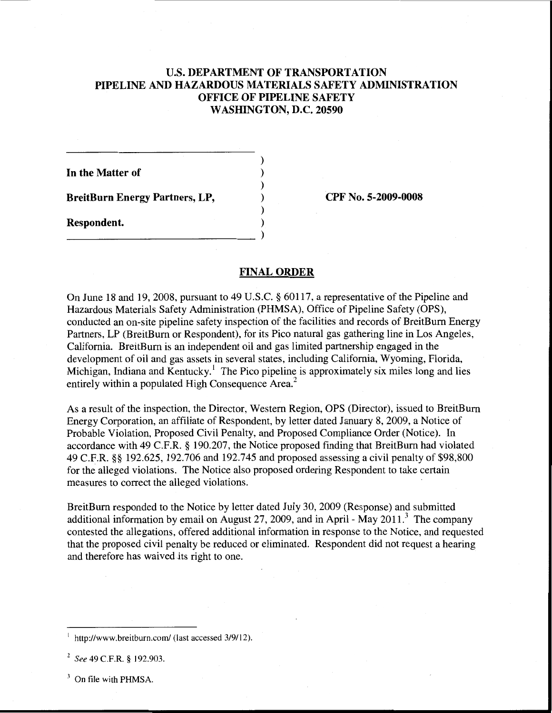# U.S. **DEPARTMENT OF TRANSPORTATION PIPELINE AND HAZARDOUS MATERIALS SAFETY ADMINISTRATION OFFICE OF PIPELINE SAFETY WASHINGTON, D.C. 20590**

) ) ) ) ) )

**In the Matter of** 

**BreitBurn Energy Partners, LP,** 

--------------------------- )

**Respondent.** 

**CPF No. 5-2009-0008** 

## **FINAL ORDER**

On June 18 and 19, 2008, pursuant to 49 U.S.C. § 60117, a representative of the Pipeline and Hazardous Materials Safety Administration (PHMSA), Office of Pipeline Safety (OPS), conducted an on-site pipeline safety inspection of the facilities and records of BreitBurn Energy Partners, LP (BreitBurn or Respondent), for its Pico natural gas gathering line in Los Angeles, California. BreitBurn is an independent oil and gas limited partnership engaged in the development of oil and gas assets in several states, including California, Wyoming, Florida, Michigan, Indiana and Kentucky.<sup>1</sup> The Pico pipeline is approximately six miles long and lies entirely within a populated High Consequence Area.<sup>2</sup>

As a result of the inspection, the Director, Western Region, OPS (Director), issued to BreitBurn Energy Corporation, an affiliate of Respondent, by letter dated January 8, 2009, a Notice of Probable Violation, Proposed Civil Penalty, and Proposed Compliance Order (Notice). In accordance with 49 C.F.R. § 190.207, the Notice proposed finding that BreitBurn had violated 49 C.F.R. §§ 192.625, 192.706 and 192.745 and proposed assessing a civil penalty of \$98,800 for the alleged violations. The Notice also proposed ordering Respondent to take certain measures to correct the alleged violations.

BreitBurn responded to the Notice by letter dated July 30, 2009 (Response) and submitted additional information by email on August 27, 2009, and in April - May  $2011$ .<sup>3</sup> The company contested the allegations, offered additional information in response to the Notice, and requested that the proposed civil penalty be reduced or eliminated. Respondent did not request a hearing and therefore has waived its right to one.

<sup>3</sup> On file with PHMSA.

http://www.breitburn.com/ (last accessed 3/9/12).

<sup>2</sup>*See* 49 C.F.R. § 192.903.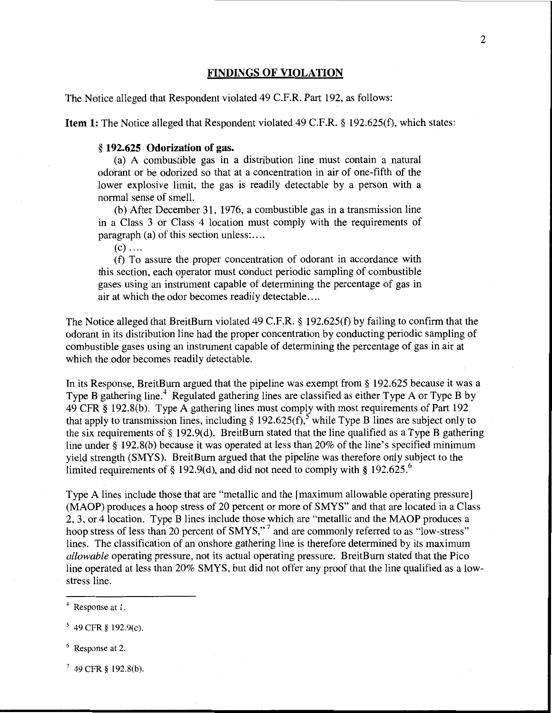## **FINDINGS OF VIOLATION**

The Notice alleged that Respondent violated 49 C.F.R. Part 192, as follows:

**Item 1:** The Notice alleged that Respondent violated 49 C.F.R. § 192.625(f), which states:

#### § **192.625 Odorization of gas.**

(a) A combustible gas in a distribution line must contain a natural odorant or be odorized so that at a concentration in air of one-fifth of the lower explosive limit, the gas is readily detectable by a person with a normal sense of smell.

(b) After December 31, 1976, a combustible gas in a transmission line in a Class 3 or Class 4 location must comply with the requirements of paragraph (a) of this section unless:....

 $(c)$  ....

(f) To assure the proper concentration of odorant in accordance with this section, each operator must conduct periodic sampling of combustible gases using an instrument capable of determining the percentage of gas in air at which the odor becomes readily detectable ....

The Notice alleged that BreitBurn violated 49 C.F.R. § 192.625(f) by failing to confirm that the odorant in its distribution line had the proper concentration by conducting periodic sampling of combustible gases using an instrument capable of determining the percentage of gas in air at which the odor becomes readily detectable.

In its Response, BreitBurn argued that the pipeline was exempt from § 192.625 because it was a Type B gathering line.<sup>4</sup> Regulated gathering lines are classified as either Type A or Type B by 49 CFR § 192.8(b). Type A gathering lines must comply with most requirements of Part 192 that apply to transmission lines, including  $\S$  192.625(f), while Type B lines are subject only to the six requirements of§ 192.9(d). BreitBum stated that the line qualified as a Type **B** gathering line under § 192.8(b) because it was operated at less than 20% of the line's specified minimum yield strength (SMYS). BreitBum argued that the pipeline was therefore only subject to the limited requirements of § 192.9(d), and did not need to comply with § 192.625.<sup>6</sup>

Type A lines include those that are "metallic and the [maximum allowable operating pressure] (MAOP) produces a hoop stress of 20 percent or more of SMYS" and that are located in a Class 2, 3, or 4location. Type B lines include those which are "metallic and the MAOP produces a hoop stress of less than 20 percent of SMYS,"<sup>7</sup> and are commonly referred to as "low-stress" lines. The classification of an onshore gathering line is therefore determined by its maximum *allowable* operating pressure, not its actual operating pressure. BreitBum stated that the Pico line operated at less than 20% SMYS, but did not offer any proof that the line qualified as a lowstress line.

- 6 Response at 2.
- $7$  49 CFR § 192.8(b).

<sup>4</sup> Response at l.

*<sup>5</sup>*49 CFR § 192.9(c).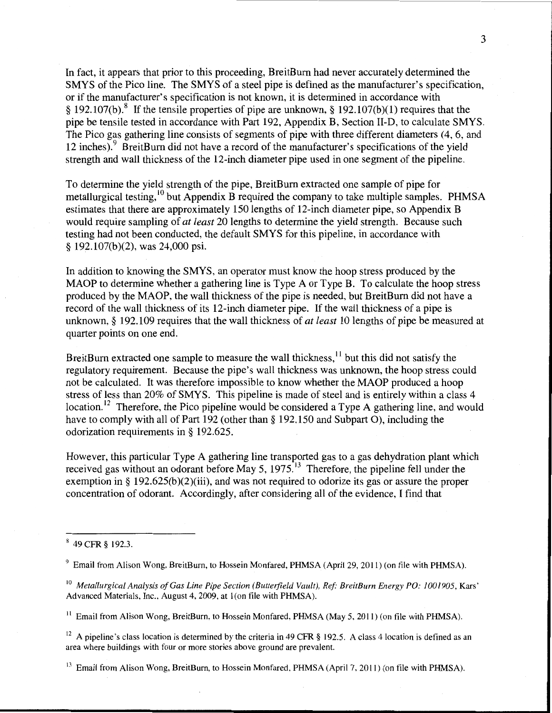In fact, it appears that prior to this proceeding, BreitBurn had never accurately determined the SMYS of the Pica line. The SMYS of a steel pipe is defined as the manufacturer's specification, or if the manufacturer's specification is not known, it is determined in accordance with § 192.107(b).<sup>8</sup> If the tensile properties of pipe are unknown, § 192.107(b)(1) requires that the pipe be tensile tested in accordance with Part 192, Appendix B, Section li-D, to calculate SMYS. The Pico gas gathering line consists of segments of pipe with three different diameters  $(4, 6,$  and 12 inches).<sup>9</sup> BreitBurn did not have a record of the manufacturer's specifications of the yield strength and wall thickness of the 12-inch diameter pipe used in one segment of the pipeline.

To determine the yield strength of the pipe, BreitBurn extracted one sample of pipe for metallurgical testing,  $10$  but Appendix B required the company to take multiple samples. PHMSA estimates that there are approximately 150 lengths of 12-inch diameter pipe, so Appendix B would require sampling of *at least* 20 lengths to determine the yield strength. Because such testing had not been conducted, the default SMYS for this pipeline, in accordance with § 192.107(b)(2), was 24,000 psi.

In addition to knowing the SMYS, an operator must know the hoop stress produced by the MAOP to determine whether a gathering line is Type A or Type B. To calculate the hoop stress produced by the MAOP, the wall thickness of the pipe is needed, but BreitBurn did not have a record of the wall thickness of its 12-inch diameter pipe. If the wall thickness of a pipe is unknown, § 192.109 requires that the wall thickness of *at least* 10 lengths of pipe be measured at quarter points on one end.

BreitBurn extracted one sample to measure the wall thickness,  $\frac{11}{10}$  but this did not satisfy the regulatory requirement. Because the pipe's wall thickness was unknown, the hoop stress could not be calculated. It was therefore impossible to know whether the MAOP produced a hoop stress of less than 20% of SMYS. This pipeline is made of steel and is entirely within a class 4 location.<sup>12</sup> Therefore, the Pico pipeline would be considered a Type A gathering line, and would have to comply with all of Part 192 (other than§ 192.150 and Subpart 0), including the odorization requirements in§ 192.625.

However, this particular Type A gathering line transported gas to a gas dehydration plant which received gas without an odorant before May 5,  $1975<sup>13</sup>$  Therefore, the pipeline fell under the exemption in § 192.625(b)(2)(iii), and was not required to odorize its gas or assure the proper concentration of odorant. Accordingly, after considering all of the evidence, I find that

<sup>12</sup> A pipeline's class location is determined by the criteria in 49 CFR § 192.5. A class 4 location is defined as an area where buildings with four or more stories above ground are prevalent.

<sup>13</sup> Email from Alison Wong, BreitBurn, to Hossein Monfared, PHMSA (April 7, 2011) (on file with PHMSA).

<sup>8 49</sup> CFR § 192.3.

 $9$  Email from Alison Wong, BreitBurn, to Hossein Monfared, PHMSA (April 29, 2011) (on file with PHMSA).

<sup>&</sup>lt;sup>10</sup> Metallurgical Analysis of Gas Line Pipe Section (Butterfield Vault), Ref: BreitBurn Energy PO: 1001905, Kars' Advanced Materials, Inc., August 4, 2009, at I (on file with PHMSA).

<sup>&</sup>lt;sup>11</sup> Email from Alison Wong, BreitBurn, to Hossein Monfared, PHMSA (May 5, 2011) (on file with PHMSA).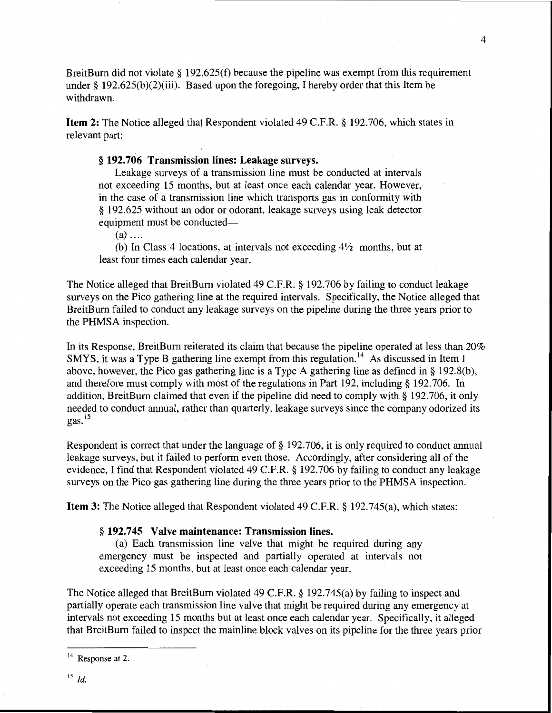BreitBurn did not violate § 192.625(f) because the pipeline was exempt from this requirement under § 192.625(b)(2)(iii). Based upon the foregoing, I hereby order that this Item be withdrawn.

**Item 2:** The Notice alleged that Respondent violated 49 C.F.R. § 192.706, which states in relevant part:

# § **192.706 Transmission lines: Leakage surveys.**

Leakage surveys of a transmission line must be conducted at intervals not exceeding 15 months, but at least once each calendar year. However, in the case of a transmission line which transports gas in conformity with § 192.625 without an odor or odorant, leakage surveys using leak detector equipment must be conducted—

 $(a)$  ....

(b) In Class 4 locations, at intervals not exceeding *4Y2* months, but at least four times each calendar year.

The Notice alleged that BreitBum violated 49 C.F.R. § 192.706 by failing to conduct leakage surveys on the Pico gathering line at the required intervals. Specifically, the Notice alleged that BreitBum failed to conduct any leakage surveys on the pipeline during the three years prior to the PHMSA inspection.

In its Response, BreitBum reiterated its claim that because the pipeline operated at less than 20% SMYS, it was a Type B gathering line exempt from this regulation. 14 As discussed in Item **1**  above, however, the Pico gas gathering line is a Type A gathering line as defined in§ 192.8(b), and therefore must comply with most of the regulations in Part 192, including§ 192.706. In addition, BreitBum claimed that even if the pipeline did need to comply with§ 192.706, it only needed to conduct annual, rather than quarterly, leakage surveys since the company odorized its gas. $15$ 

Respondent is correct that under the language of§ 192.706, it is only required to conduct annual leakage surveys, but it failed to perform even those. Accordingly, after considering all of the evidence, I find that Respondent violated 49 C.F.R. § 192.706 by failing to conduct any leakage surveys on the Pico gas gathering line during the three years prior to the PHMSA inspection.

**Item 3:** The Notice alleged that Respondent violated 49 C.F.R. § 192.745(a), which states:

#### § **192.745 Valve maintenance: Transmission lines.**

(a) Each transmission line valve that might be required during any emergency must be inspected and partially operated at intervals not exceeding 15 months, but at least once each calendar year.

The Notice alleged that BreitBum violated 49 C.F.R. § 192.745(a) by failing to inspect and partially operate each transmission line valve that might be required during any emergency at intervals not exceeding 15 months but at least once each calendar year. Specifically, it alleged that BreitBum failed to inspect the mainline block valves on its pipeline for the three years prior

 $14$  Response at 2.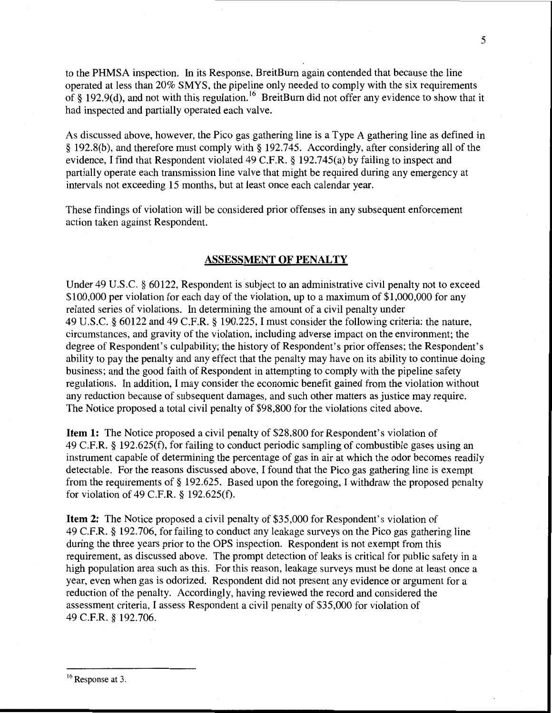to the PHMSA inspection. In its Response, BreitBum again contended that because the line operated at less than 20% SMYS, the pipeline only needed to comply with the six requirements of § 192.9(d), and not with this regulation.<sup>16</sup> BreitBurn did not offer any evidence to show that it had inspected and partially operated each valve.

As discussed above, however, the Pico gas gathering line is a Type A gathering line as defined in § 192.8(b), and therefore must comply with§ 192.745. Accordingly, after considering all of the evidence, I find that Respondent violated 49 C.F.R. § 192.745(a) by failing to inspect and partially operate each transmission line valve that might be required during any emergency at intervals not exceeding 15 months, but at least once each calendar year.

These findings of violation will be considered prior offenses in any subsequent enforcement action taken against Respondent.

## **ASSESSMENT OF PENALTY**

Under 49 U.S.C. § 60122, Respondent is subject to an administrative civil penalty not to exceed \$100,000 per violation for each day of the violation, up to a maximum of \$1,000,000 for any related series of violations. In determining the amount of a civil penalty under 49 U.S.C. § 60122 and 49 C.F.R. § 190.225, I must consider the following criteria: the nature, circumstances, and gravity of the violation, including adverse impact on the environment; the degree of Respondent's culpability; the history of Respondent's prior offenses; the Respondent's ability to pay the penalty and any effect that the penalty may have on its ability to continue doing business; and the good faith of Respondent in attempting to comply with the pipeline safety regulations. In addition, I may consider the economic benefit gained from the violation without any reduction because of subsequent damages, and such other matters as justice may require. The Notice proposed a total civil penalty of \$98,800 for the violations cited above.

**Item 1:** The Notice proposed a civil penalty of \$28,800 for Respondent's violation of 49 C.F.R. § 192.625(f), for failing to conduct periodic sampling of combustible gases using an instrument capable of determining the percentage of gas in air at which the odor becomes readily detectable. For the reasons discussed above, I found that the Pico gas gathering line is exempt from the requirements of§ 192.625. Based upon the foregoing, I withdraw the proposed penalty for violation of 49 C.F.R. § 192.625(f).

**Item 2:** The Notice proposed a civil penalty of \$35,000 for Respondent's violation of 49 C.F.R. § 192.706, for failing to conduct any leakage surveys on the Pico gas gathering line during the three years prior to the OPS inspection. Respondent is not exempt from this requirement, as discussed above. The prompt detection of leaks is critical for public safety in a high population area such as this. For this reason, leakage surveys must be done at least once a year, even when gas is odorized. Respondent did not present any evidence or argument for a reduction of the penalty. Accordingly, having reviewed the record and considered the assessment criteria, I assess Respondent a civil penalty of \$35,000 for violation of 49 C.F.R. § 192.706.

<sup>16</sup> Response at 3.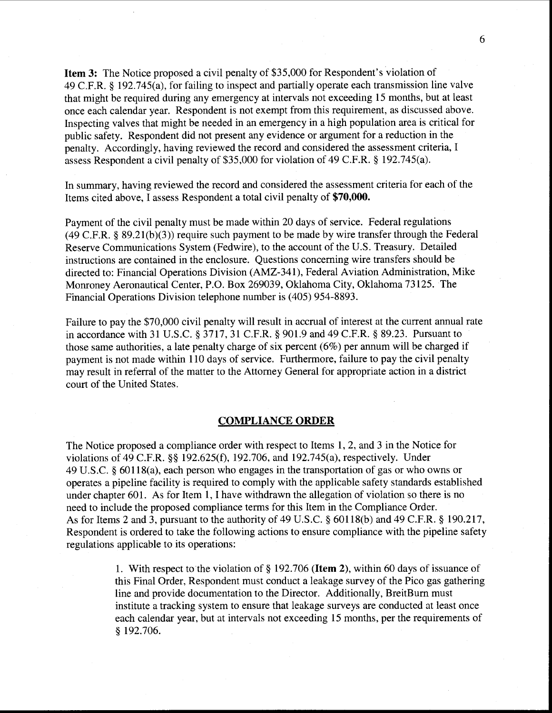**Item 3:** The Notice proposed a civil penalty of \$35,000 for Respondent's violation of 49 C.F.R. § 192.745(a), for failing to inspect and partially operate each transmission line valve that might be required during any emergency at intervals not exceeding 15 months, but at least once each calendar year. Respondent is not exempt from this requirement, as discussed above. Inspecting valves that might be needed in an emergency in a high population area is critical for public safety. Respondent did not present any evidence or argument for a reduction in the penalty. Accordingly, having reviewed the record and considered the assessment criteria, I assess Respondent a civil penalty of \$35,000 for violation of 49 C.P.R. § 192.745(a).

In summary, having reviewed the record and considered the assessment criteria for each of the Items cited above, I assess Respondent a total civil penalty of **\$70,000.** 

Payment of the civil penalty must be made within 20 days of service. Federal regulations (49 C.P.R.§ 89.21(b)(3)) require such payment to be made by wire transfer through the Federal Reserve Communications System (Fedwire), to the account of the U.S. Treasury. Detailed instructions are contained in the enclosure. Questions concerning wire transfers should be directed to: Financial Operations Division (AMZ-341), Federal Aviation Administration, Mike Monroney Aeronautical Center, P.O. Box 269039, Oklahoma City, Oklahoma 73125. The Financial Operations Division telephone number is (405) 954-8893.

Failure to pay the \$70,000 civil penalty will result in accrual of interest at the current annual rate in accordance with 31 U.S.C. § 3717, 31 C.F.R. § 901.9 and 49 C.F.R. § 89.23. Pursuant to those same authorities, a late penalty charge of six percent (6%) per annum will be charged if payment is not made within 110 days of service. Furthermore, failure to pay the civil penalty may result in referral of the matter to the Attorney General for appropriate action in a district court of the United States.

#### **COMPLIANCE ORDER**

The Notice proposed a compliance order with respect to Items 1, 2, and 3 in the Notice for violations of 49 C.P.R.§§ 192.625(f), 192.706, and 192.745(a), respectively. Under 49 U.S.C. § 60118(a), each person who engages in the transportation of gas or who owns or operates a pipeline facility is required to comply with the applicable safety standards established under chapter 601. As for Item **1,** I have withdrawn the allegation of violation so there is no need to include the proposed compliance terms for this Item in the Compliance Order. As for Items 2 and 3, pursuant to the authority of 49 U.S.C. § 60118(b) and 49 C.F.R. § 190.217, Respondent is ordered to take the following actions to ensure compliance with the pipeline safety regulations applicable to its operations:

> 1. With respect to the violation of§ 192.706 **(Item** 2), within 60 days of issuance of this Final Order, Respondent must conduct a leakage survey of the Pico gas gathering line and provide documentation to the Director. Additionally, BreitBurn must institute a tracking system to ensure that leakage surveys are conducted at least once each calendar year, but at intervals not exceeding 15 months, per the requirements of § 192.706.